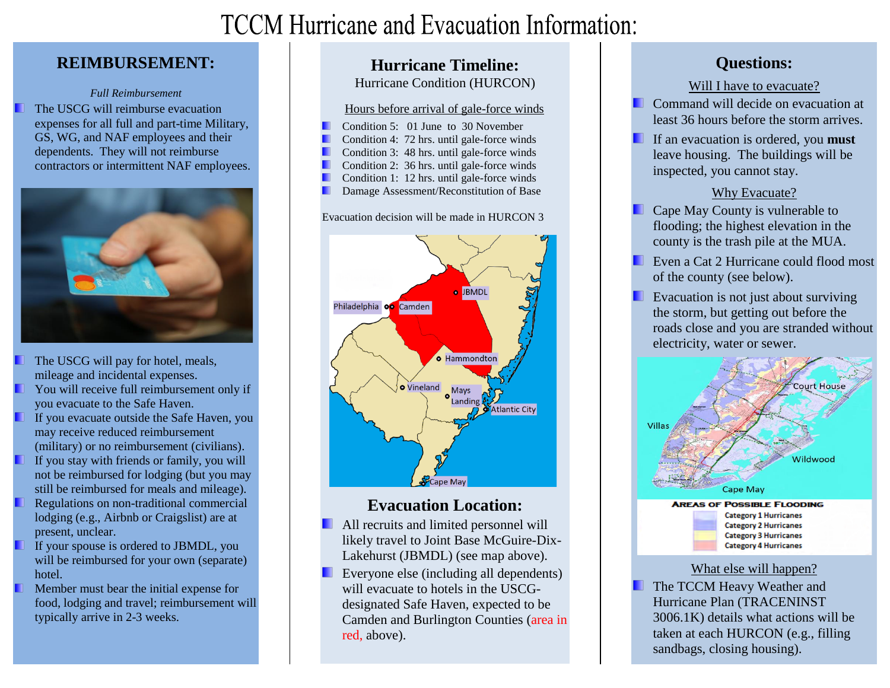# **TCCM Hurricane and Evacuation Information:**

### **REIMBURSEMENT:**

#### *Full Reimbursement*

The USCG will reimburse evacuation expenses for all full and part-time Military, GS, WG, and NAF employees and their dependents. They will not reimburse contractors or intermittent NAF employees.



- The USCG will pay for hotel, meals, mileage and incidental expenses.
- You will receive full reimbursement only if you evacuate to the Safe Haven.
- If you evacuate outside the Safe Haven, you may receive reduced reimbursement (military) or no reimbursement (civilians).
- If you stay with friends or family, you will not be reimbursed for lodging (but you may still be reimbursed for meals and mileage).
- Regulations on non-traditional commercial lodging (e.g., Airbnb or Craigslist) are at present, unclear.
- If your spouse is ordered to JBMDL, you will be reimbursed for your own (separate) hotel.
- Member must bear the initial expense for food, lodging and travel; reimbursement will typically arrive in 2-3 weeks.

### **Hurricane Timeline:**

Hurricane Condition (HURCON)

#### Hours before arrival of gale-force winds

- Condition 5: 01 June to 30 November
- Condition 4: 72 hrs. until gale-force winds
- Condition 3: 48 hrs. until gale-force winds
- . Condition 2: 36 hrs. until gale-force winds .
- Condition 1: 12 hrs. until gale-force winds .
- Damage Assessment/Reconstitution of Base

#### Evacuation decision will be made in HURCON 3



### **Evacuation Location:**

- All recruits and limited personnel will likely travel to Joint Base McGuire-Dix-Lakehurst (JBMDL) (see map above).
- Everyone else (including all dependents) will evacuate to hotels in the USCGdesignated Safe Haven, expected to be Camden and Burlington Counties (area in red, above).

### **Questions:**

#### Will I have to evacuate?

Command will decide on evacuation at least 36 hours before the storm arrives.

If an evacuation is ordered, you **must** leave housing. The buildings will be inspected, you cannot stay.

#### Why Evacuate?

- Cape May County is vulnerable to flooding; the highest elevation in the county is the trash pile at the MUA.
- Even a Cat 2 Hurricane could flood most of the county (see below).
- Evacuation is not just about surviving the storm, but getting out before the roads close and you are stranded without electricity, water or sewer.



**Category 2 Hurricanes Category 3 Hurricanes Category 4 Hurricanes** 

#### What else will happen?

The TCCM Heavy Weather and Hurricane Plan (TRACENINST 3006.1K) details what actions will be taken at each HURCON (e.g., filling sandbags, closing housing).